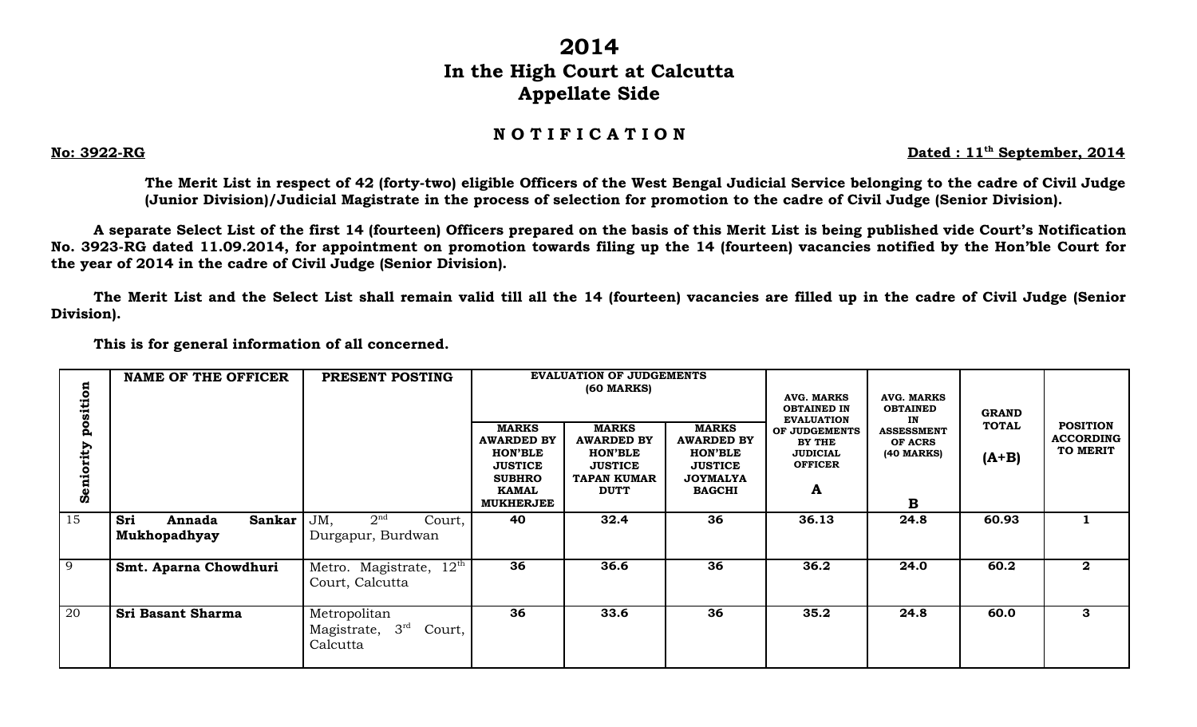# **2014 In the High Court at Calcutta Appellate Side**

### **N O T I F I C A T I O N**

#### **No: 3922-RG Dated : 11th**

Dated : 11<sup>th</sup> September, 2014

**The Merit List in respect of 42 (forty-two) eligible Officers of the West Bengal Judicial Service belonging to the cadre of Civil Judge (Junior Division)/Judicial Magistrate in the process of selection for promotion to the cadre of Civil Judge (Senior Division).** 

**A separate Select List of the first 14 (fourteen) Officers prepared on the basis of this Merit List is being published vide Court's Notification No. 3923-RG dated 11.09.2014, for appointment on promotion towards filing up the 14 (fourteen) vacancies notified by the Hon'ble Court for the year of 2014 in the cadre of Civil Judge (Senior Division).**

**The Merit List and the Select List shall remain valid till all the 14 (fourteen) vacancies are filled up in the cadre of Civil Judge (Senior Division).**

**This is for general information of all concerned.** 

| osition                                | <b>NAME OF THE OFFICER</b>              | PRESENT POSTING                                       | <b>EVALUATION OF JUDGEMENTS</b><br><b>(60 MARKS)</b>                                                                       |                                                                                                            |                                                                                                           | <b>AVG. MARKS</b><br><b>OBTAINED IN</b><br><b>EVALUATION</b>             | <b>AVG. MARKS</b><br><b>OBTAINED</b><br>IN      | <b>GRAND</b>            |                                                        |
|----------------------------------------|-----------------------------------------|-------------------------------------------------------|----------------------------------------------------------------------------------------------------------------------------|------------------------------------------------------------------------------------------------------------|-----------------------------------------------------------------------------------------------------------|--------------------------------------------------------------------------|-------------------------------------------------|-------------------------|--------------------------------------------------------|
| $\mathbf{p}$<br>rity<br>ion<br>ō<br>Ŵ. |                                         |                                                       | <b>MARKS</b><br><b>AWARDED BY</b><br><b>HON'BLE</b><br><b>JUSTICE</b><br><b>SUBHRO</b><br><b>KAMAL</b><br><b>MUKHERJEE</b> | <b>MARKS</b><br><b>AWARDED BY</b><br><b>HON'BLE</b><br><b>JUSTICE</b><br><b>TAPAN KUMAR</b><br><b>DUTT</b> | <b>MARKS</b><br><b>AWARDED BY</b><br><b>HON'BLE</b><br><b>JUSTICE</b><br><b>JOYMALYA</b><br><b>BAGCHI</b> | OF JUDGEMENTS<br><b>BY THE</b><br><b>JUDICIAL</b><br><b>OFFICER</b><br>A | <b>ASSESSMENT</b><br>OF ACRS<br>(40 MARKS)<br>B | <b>TOTAL</b><br>$(A+B)$ | <b>POSITION</b><br><b>ACCORDING</b><br><b>TO MERIT</b> |
| 15                                     | Sri<br>Sankar<br>Annada<br>Mukhopadhyay | 2 <sup>nd</sup><br>JM,<br>Court,<br>Durgapur, Burdwan | 40                                                                                                                         | 32.4                                                                                                       | 36                                                                                                        | 36.13                                                                    | 24.8                                            | 60.93                   |                                                        |
| 9                                      | Smt. Aparna Chowdhuri                   | Metro. Magistrate, $12^{th}$<br>Court, Calcutta       | 36                                                                                                                         | 36.6                                                                                                       | 36                                                                                                        | 36.2                                                                     | 24.0                                            | 60.2                    | $\mathbf{2}$                                           |
| 20                                     | Sri Basant Sharma                       | Metropolitan<br>Magistrate, $3rd$ Court,<br>Calcutta  | 36                                                                                                                         | 33.6                                                                                                       | 36                                                                                                        | 35.2                                                                     | 24.8                                            | 60.0                    | 3                                                      |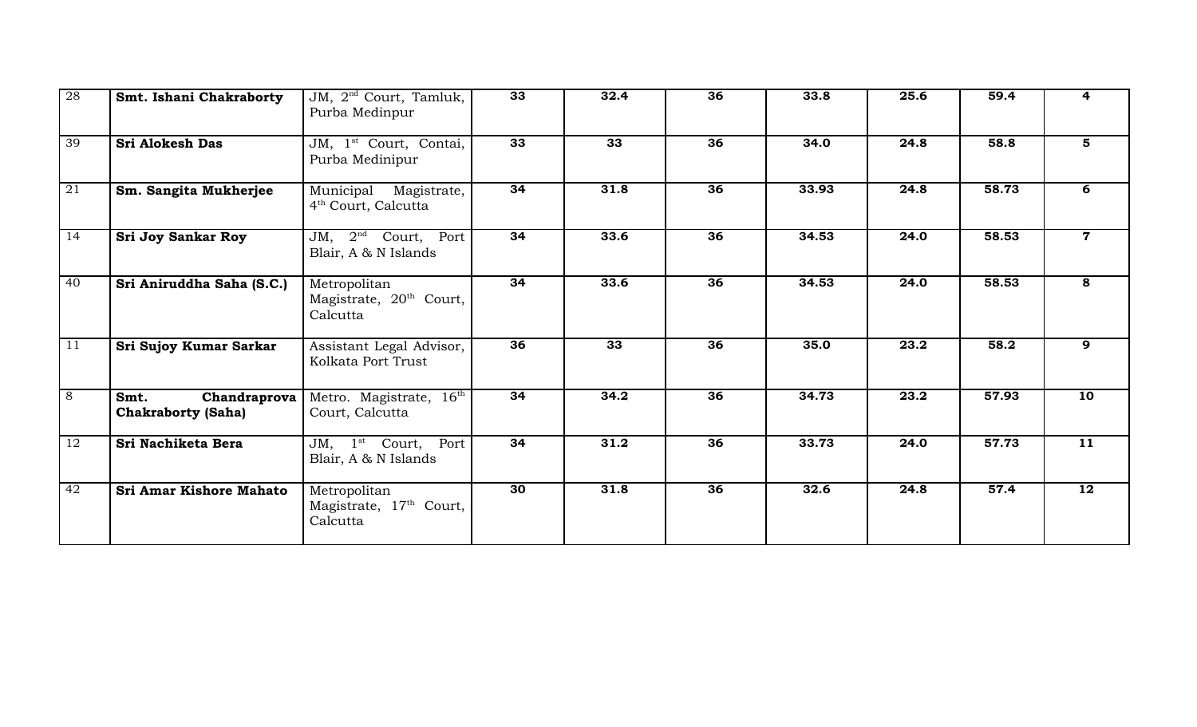| $\overline{28}$ | Smt. Ishani Chakraborty                           | JM, 2 <sup>nd</sup> Court, Tamluk,<br>Purba Medinpur            | 33              | 32.4            | 36 | 33.8  | 25.6 | 59.4  | 4              |
|-----------------|---------------------------------------------------|-----------------------------------------------------------------|-----------------|-----------------|----|-------|------|-------|----------------|
| 39              | <b>Sri Alokesh Das</b>                            | JM, 1 <sup>st</sup> Court, Contai,<br>Purba Medinipur           | $\overline{33}$ | $\overline{33}$ | 36 | 34.0  | 24.8 | 58.8  | 5 <sup>5</sup> |
| 21              | Sm. Sangita Mukherjee                             | Municipal Magistrate,<br>4 <sup>th</sup> Court, Calcutta        | 34              | 31.8            | 36 | 33.93 | 24.8 | 58.73 | 6              |
| 14              | <b>Sri Joy Sankar Roy</b>                         | JM, $2^{nd}$ Court, Port<br>Blair, A & N Islands                | 34              | 33.6            | 36 | 34.53 | 24.0 | 58.53 | $\overline{7}$ |
| 40              | Sri Aniruddha Saha (S.C.)                         | Metropolitan<br>Magistrate, 20 <sup>th</sup> Court,<br>Calcutta | 34              | 33.6            | 36 | 34.53 | 24.0 | 58.53 | 8              |
| 11              | Sri Sujoy Kumar Sarkar                            | Assistant Legal Advisor,<br>Kolkata Port Trust                  | 36              | 33              | 36 | 35.0  | 23.2 | 58.2  | 9              |
| 8               | Smt.<br>Chandraprova<br><b>Chakraborty (Saha)</b> | Metro. Magistrate, $16^{th}$<br>Court, Calcutta                 | 34              | 34.2            | 36 | 34.73 | 23.2 | 57.93 | 10             |
| 12              | Sri Nachiketa Bera                                | JM, $1^{\text{st}}$ Court,<br>Port<br>Blair, A & N Islands      | 34              | 31.2            | 36 | 33.73 | 24.0 | 57.73 | 11             |
| 42              | Sri Amar Kishore Mahato                           | Metropolitan<br>Magistrate, 17 <sup>th</sup> Court,<br>Calcutta | 30              | 31.8            | 36 | 32.6  | 24.8 | 57.4  | 12             |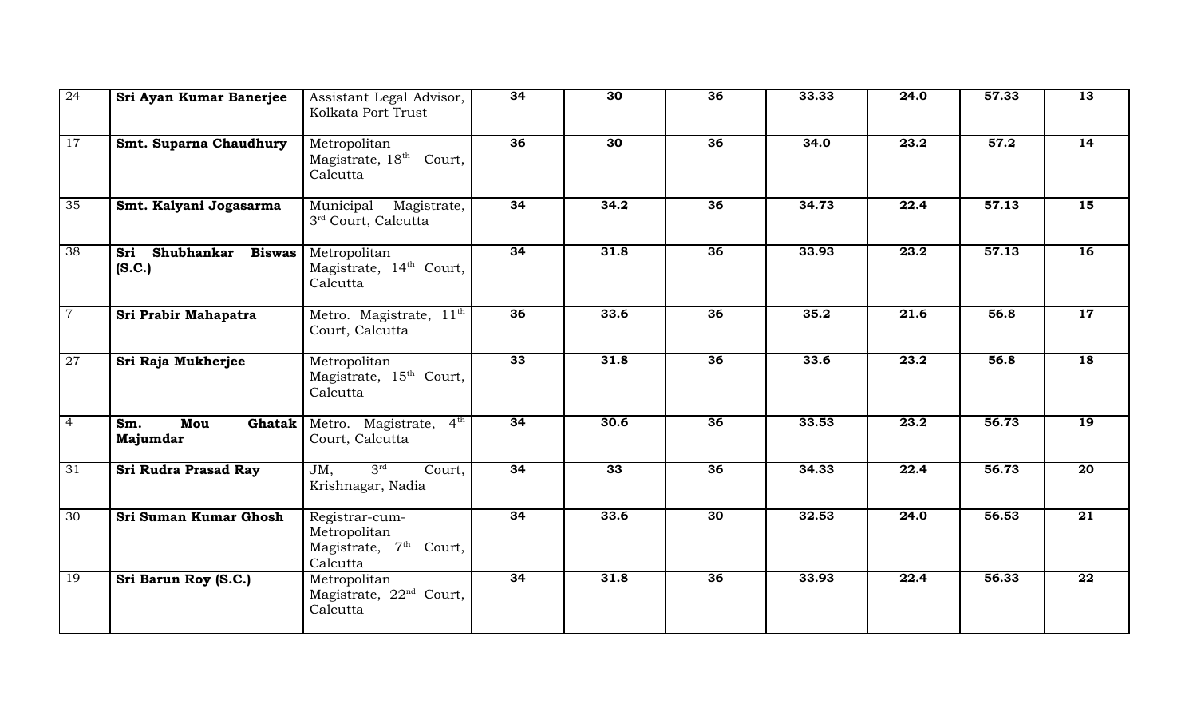| $\overline{24}$ | Sri Ayan Kumar Banerjee                      | Assistant Legal Advisor,<br>Kolkata Port Trust                                   | 34              | 30              | 36 | 33.33 | 24.0 | 57.33              | 13              |
|-----------------|----------------------------------------------|----------------------------------------------------------------------------------|-----------------|-----------------|----|-------|------|--------------------|-----------------|
| $\overline{17}$ | Smt. Suparna Chaudhury                       | Metropolitan<br>Magistrate, 18th Court,<br>Calcutta                              | 36              | $\overline{30}$ | 36 | 34.0  | 23.2 | 57.2               | $\overline{14}$ |
| 35              | Smt. Kalyani Jogasarma                       | Municipal Magistrate,<br>3rd Court, Calcutta                                     | $\overline{34}$ | 34.2            | 36 | 34.73 | 22.4 | 57.13              | 15              |
| $\overline{38}$ | Shubhankar<br><b>Biswas</b><br>Sri<br>(S.C.) | Metropolitan<br>Magistrate, 14 <sup>th</sup> Court,<br>Calcutta                  | 34              | 31.8            | 36 | 33.93 | 23.2 | $\overline{57.13}$ | 16              |
| $\overline{7}$  | Sri Prabir Mahapatra                         | Metro. Magistrate, 11th<br>Court, Calcutta                                       | 36              | 33.6            | 36 | 35.2  | 21.6 | 56.8               | $\overline{17}$ |
| $\overline{27}$ | Sri Raja Mukherjee                           | Metropolitan<br>Magistrate, 15 <sup>th</sup> Court,<br>Calcutta                  | 33              | 31.8            | 36 | 33.6  | 23.2 | 56.8               | $\overline{18}$ |
| $\overline{4}$  | Mou<br>Ghatak<br>Sm.<br>Majumdar             | Metro. Magistrate, $4^{\text{th}}$<br>Court, Calcutta                            | 34              | 30.6            | 36 | 33.53 | 23.2 | 56.73              | $\overline{19}$ |
| $\overline{31}$ | <b>Sri Rudra Prasad Ray</b>                  | 3 <sup>rd</sup><br>JM,<br>Court,<br>Krishnagar, Nadia                            | 34              | 33              | 36 | 34.33 | 22.4 | 56.73              | 20              |
| $\overline{30}$ | Sri Suman Kumar Ghosh                        | Registrar-cum-<br>Metropolitan<br>Magistrate, 7 <sup>th</sup> Court,<br>Calcutta | 34              | 33.6            | 30 | 32.53 | 24.0 | 56.53              | $\overline{21}$ |
| $\overline{19}$ | Sri Barun Roy (S.C.)                         | Metropolitan<br>Magistrate, 22 <sup>nd</sup> Court,<br>Calcutta                  | 34              | 31.8            | 36 | 33.93 | 22.4 | 56.33              | 22              |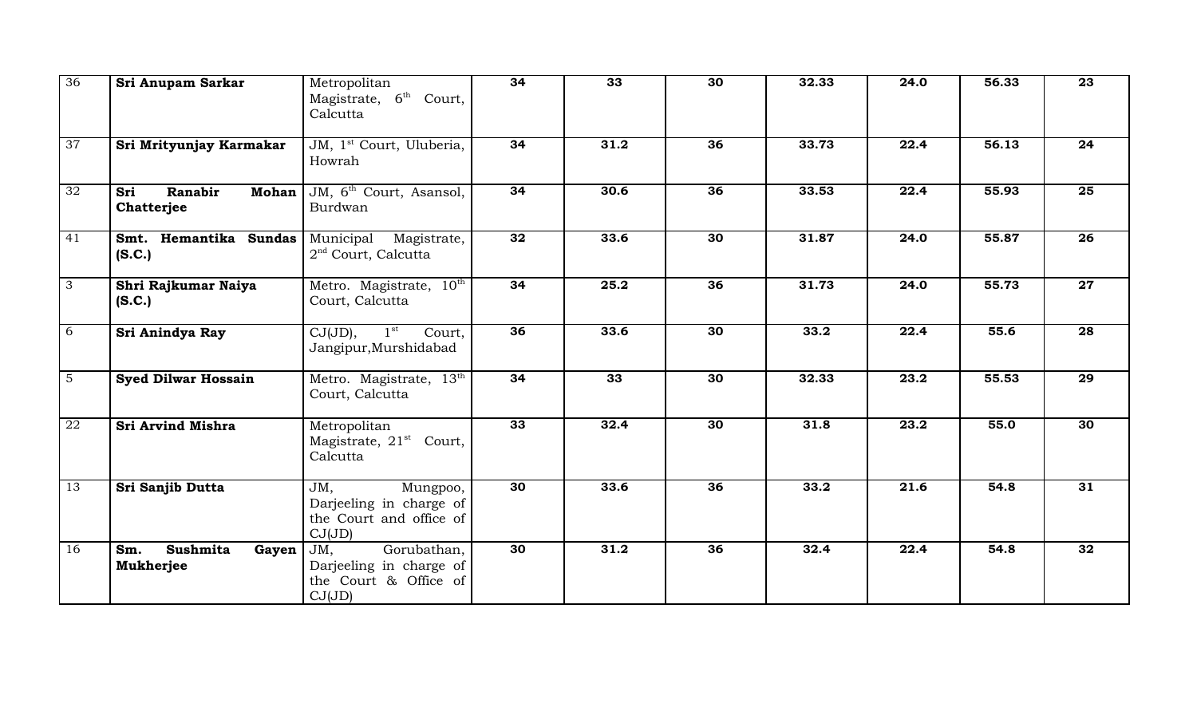| 36              | Sri Anupam Sarkar                            | Metropolitan<br>Magistrate, 6 <sup>th</sup> Court,                               | 34              | 33   | 30 | 32.33 | 24.0 | 56.33 | 23              |
|-----------------|----------------------------------------------|----------------------------------------------------------------------------------|-----------------|------|----|-------|------|-------|-----------------|
| 37              |                                              | Calcutta                                                                         | 34              | 31.2 | 36 | 33.73 | 22.4 | 56.13 | 24              |
|                 | Sri Mrityunjay Karmakar                      | JM, 1 <sup>st</sup> Court, Uluberia,<br>Howrah                                   |                 |      |    |       |      |       |                 |
| 32              | Sri<br>Ranabir<br><b>Mohan</b><br>Chatterjee | JM, 6 <sup>th</sup> Court, Asansol,<br>Burdwan                                   | $\overline{34}$ | 30.6 | 36 | 33.53 | 22.4 | 55.93 | $\overline{25}$ |
| $\overline{41}$ | Smt. Hemantika Sundas<br>(S.C.)              | Municipal Magistrate,<br>2 <sup>nd</sup> Court, Calcutta                         | $\overline{32}$ | 33.6 | 30 | 31.87 | 24.0 | 55.87 | 26              |
| $\overline{3}$  | Shri Rajkumar Naiya<br>(S.C.)                | Metro. Magistrate, 10th<br>Court, Calcutta                                       | 34              | 25.2 | 36 | 31.73 | 24.0 | 55.73 | $\overline{27}$ |
| 6               | Sri Anindya Ray                              | $1^{\rm st}$<br>Court,<br>CJ(JD),<br>Jangipur, Murshidabad                       | 36              | 33.6 | 30 | 33.2  | 22.4 | 55.6  | 28              |
| $5\phantom{.}$  | <b>Syed Dilwar Hossain</b>                   | Metro. Magistrate, 13th<br>Court, Calcutta                                       | 34              | 33   | 30 | 32.33 | 23.2 | 55.53 | 29              |
| $\overline{22}$ | <b>Sri Arvind Mishra</b>                     | Metropolitan<br>Magistrate, 21 <sup>st</sup> Court,<br>Calcutta                  | 33              | 32.4 | 30 | 31.8  | 23.2 | 55.0  | 30              |
| $\overline{13}$ | Sri Sanjib Dutta                             | JM,<br>Mungpoo,<br>Darjeeling in charge of<br>the Court and office of<br>CJ(JD)  | 30 <sup>7</sup> | 33.6 | 36 | 33.2  | 21.6 | 54.8  | 31              |
| 16              | Sushmita<br>Sm.<br>Gayen<br>Mukherjee        | Gorubathan,<br>JM,<br>Darjeeling in charge of<br>the Court & Office of<br>CJ(JD) | 30              | 31.2 | 36 | 32.4  | 22.4 | 54.8  | 32              |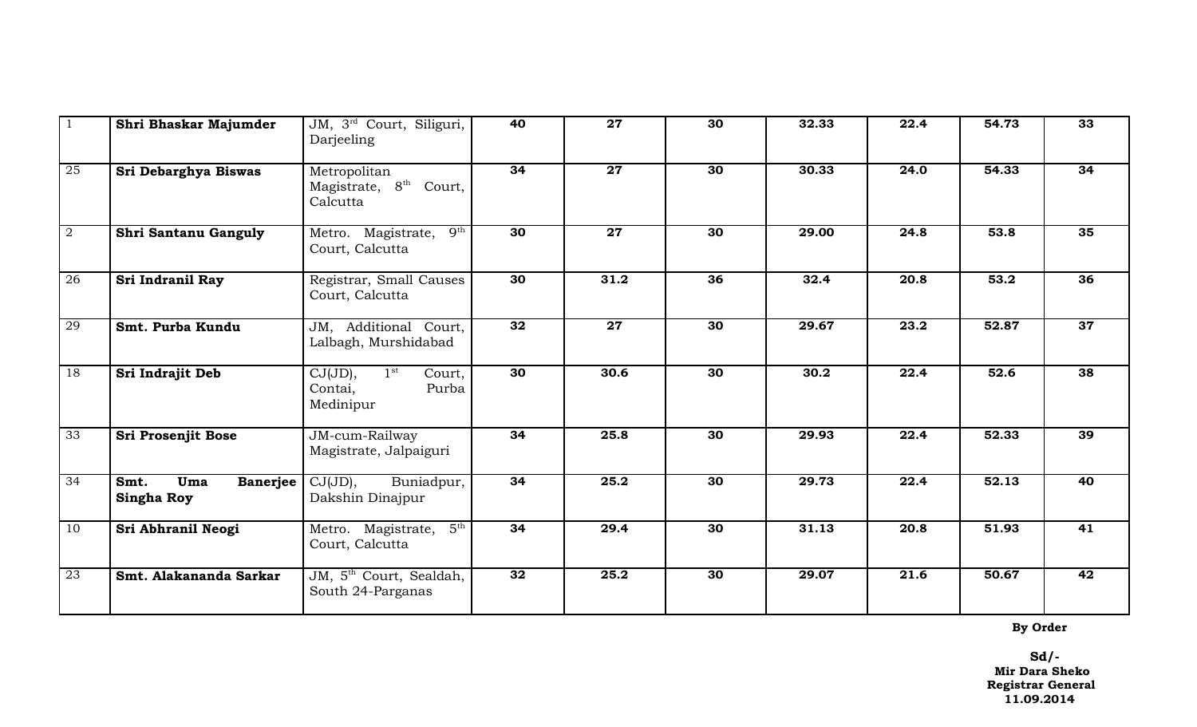| $\mathbf{1}$    | Shri Bhaskar Majumder                               | JM, 3rd Court, Siliguri,<br>Darjeeling                             | 40              | 27              | 30              | 32.33 | 22.4 | 54.73 | 33              |
|-----------------|-----------------------------------------------------|--------------------------------------------------------------------|-----------------|-----------------|-----------------|-------|------|-------|-----------------|
| 25              | Sri Debarghya Biswas                                | Metropolitan<br>Magistrate, 8 <sup>th</sup> Court,<br>Calcutta     | 34              | 27              | 30 <sup>°</sup> | 30.33 | 24.0 | 54.33 | 34              |
| $\overline{2}$  | Shri Santanu Ganguly                                | Metro. Magistrate, 9th<br>Court, Calcutta                          | 30              | $\overline{27}$ | 30              | 29.00 | 24.8 | 53.8  | 35              |
| $\overline{26}$ | Sri Indranil Ray                                    | Registrar, Small Causes<br>Court, Calcutta                         | $\overline{30}$ | 31.2            | 36              | 32.4  | 20.8 | 53.2  | 36              |
| 29              | Smt. Purba Kundu                                    | JM, Additional Court,<br>Lalbagh, Murshidabad                      | $\overline{32}$ | $\overline{27}$ | 30              | 29.67 | 23.2 | 52.87 | $\overline{37}$ |
| 18              | Sri Indrajit Deb                                    | $1^{\rm st}$<br>CJ(JD),<br>Court,<br>Purba<br>Contai,<br>Medinipur | 30              | 30.6            | 30              | 30.2  | 22.4 | 52.6  | 38              |
| $\overline{33}$ | Sri Prosenjit Bose                                  | JM-cum-Railway<br>Magistrate, Jalpaiguri                           | 34              | 25.8            | 30              | 29.93 | 22.4 | 52.33 | 39              |
| $\overline{34}$ | Uma<br><b>Banerjee</b><br>Smt.<br><b>Singha Roy</b> | $\overline{CJ(JD)},$<br>Buniadpur,<br>Dakshin Dinajpur             | 34              | 25.2            | 30              | 29.73 | 22.4 | 52.13 | 40              |
| $\overline{10}$ | Sri Abhranil Neogi                                  | Metro. Magistrate, $5^{\text{th}}$<br>Court, Calcutta              | $\overline{34}$ | 29.4            | 30              | 31.13 | 20.8 | 51.93 | $\overline{41}$ |
| $\overline{23}$ | Smt. Alakananda Sarkar                              | JM, 5 <sup>th</sup> Court, Sealdah,<br>South 24-Parganas           | 32              | 25.2            | 30              | 29.07 | 21.6 | 50.67 | 42              |

 **By Order**

 **Sd/- Mir Dara Sheko Registrar General 11.09.2014**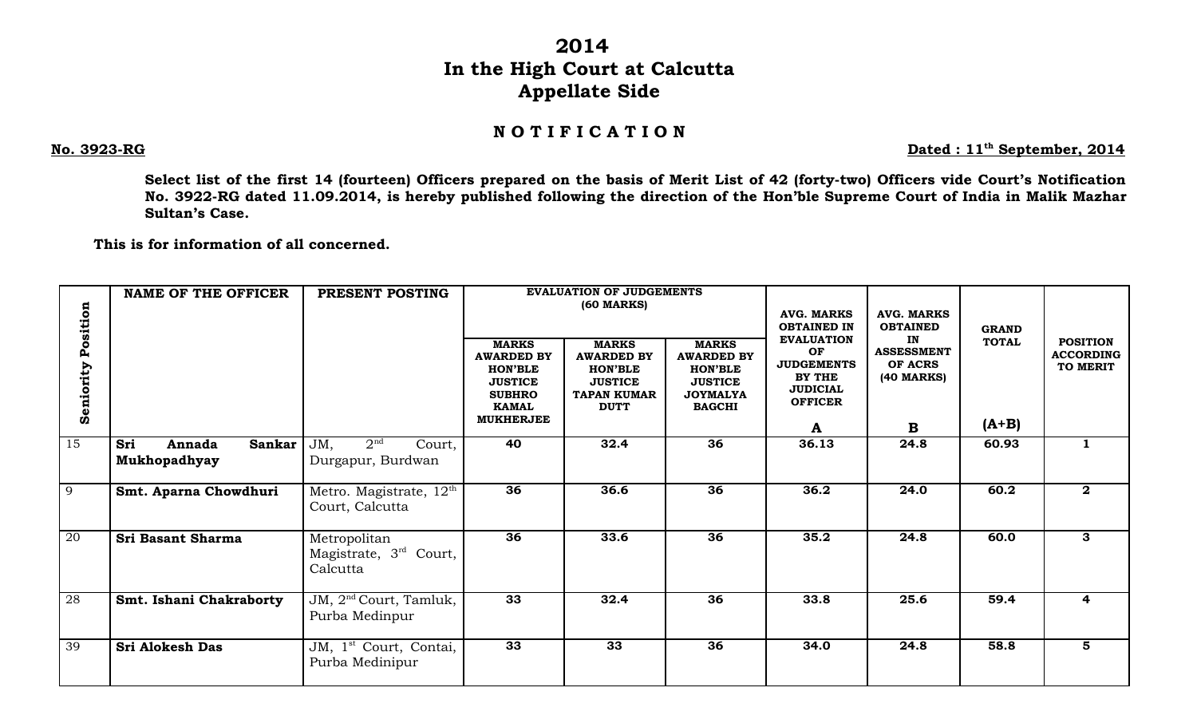# **2014 In the High Court at Calcutta Appellate Side**

### **N O T I F I C A T I O N**

#### **No. 3923-RG Dated : 11th**

Dated: 11<sup>th</sup> September, 2014

**Select list of the first 14 (fourteen) Officers prepared on the basis of Merit List of 42 (forty-two) Officers vide Court's Notification No. 3922-RG dated 11.09.2014, is hereby published following the direction of the Hon'ble Supreme Court of India in Malik Mazhar Sultan's Case.** 

**This is for information of all concerned.** 

| Position        | <b>NAME OF THE OFFICER</b>                     | PRESENT POSTING                                        | <b>EVALUATION OF JUDGEMENTS</b><br>(60 MARKS)                                                          |                                                                                                            |                                                                                                           | <b>AVG. MARKS</b><br><b>OBTAINED IN</b>                                                            | <b>AVG. MARKS</b><br><b>OBTAINED</b>             | <b>GRAND</b> |                                                        |
|-----------------|------------------------------------------------|--------------------------------------------------------|--------------------------------------------------------------------------------------------------------|------------------------------------------------------------------------------------------------------------|-----------------------------------------------------------------------------------------------------------|----------------------------------------------------------------------------------------------------|--------------------------------------------------|--------------|--------------------------------------------------------|
| Seniority       |                                                |                                                        | <b>MARKS</b><br><b>AWARDED BY</b><br><b>HON'BLE</b><br><b>JUSTICE</b><br><b>SUBHRO</b><br><b>KAMAL</b> | <b>MARKS</b><br><b>AWARDED BY</b><br><b>HON'BLE</b><br><b>JUSTICE</b><br><b>TAPAN KUMAR</b><br><b>DUTT</b> | <b>MARKS</b><br><b>AWARDED BY</b><br><b>HON'BLE</b><br><b>JUSTICE</b><br><b>JOYMALYA</b><br><b>BAGCHI</b> | <b>EVALUATION</b><br>OF<br><b>JUDGEMENTS</b><br><b>BY THE</b><br><b>JUDICIAL</b><br><b>OFFICER</b> | IN<br><b>ASSESSMENT</b><br>OF ACRS<br>(40 MARKS) | <b>TOTAL</b> | <b>POSITION</b><br><b>ACCORDING</b><br><b>TO MERIT</b> |
|                 |                                                |                                                        | <b>MUKHERJEE</b>                                                                                       |                                                                                                            |                                                                                                           | A                                                                                                  | B                                                | $(A+B)$      |                                                        |
| $\overline{15}$ | Sri<br><b>Sankar</b><br>Annada<br>Mukhopadhyay | 2 <sup>nd</sup><br>JM,<br>Court,<br>Durgapur, Burdwan  | 40                                                                                                     | 32.4                                                                                                       | 36                                                                                                        | 36.13                                                                                              | 24.8                                             | 60.93        | $\mathbf{1}$                                           |
| 9               | Smt. Aparna Chowdhuri                          | Metro. Magistrate, 12 <sup>th</sup><br>Court, Calcutta | 36                                                                                                     | 36.6                                                                                                       | 36                                                                                                        | 36.2                                                                                               | 24.0                                             | 60.2         | $\mathbf{2}$                                           |
| $\overline{20}$ | Sri Basant Sharma                              | Metropolitan<br>Magistrate, 3rd Court,<br>Calcutta     | 36                                                                                                     | 33.6                                                                                                       | 36                                                                                                        | 35.2                                                                                               | 24.8                                             | 60.0         | 3                                                      |
| 28              | Smt. Ishani Chakraborty                        | JM, 2 <sup>nd</sup> Court, Tamluk,<br>Purba Medinpur   | 33                                                                                                     | 32.4                                                                                                       | 36                                                                                                        | 33.8                                                                                               | 25.6                                             | 59.4         | 4                                                      |
| 39              | <b>Sri Alokesh Das</b>                         | JM, 1 <sup>st</sup> Court, Contai,<br>Purba Medinipur  | 33                                                                                                     | 33                                                                                                         | 36                                                                                                        | 34.0                                                                                               | 24.8                                             | 58.8         | 5                                                      |